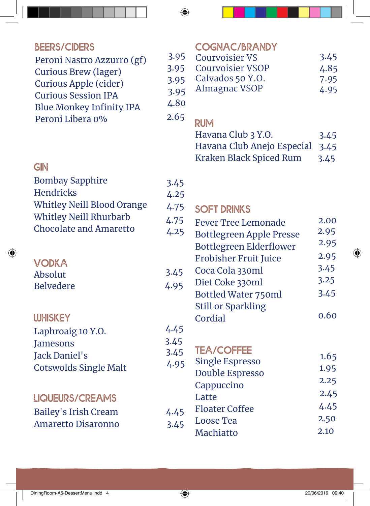| <b>BEERS/CIDERS</b><br>Peroni Nastro Azzurro (gf)<br><b>Curious Brew (lager)</b><br>Curious Apple (cider)<br><b>Curious Session IPA</b><br><b>Blue Monkey Infinity IPA</b><br>Peroni Libera 0% | 3.95<br>3.95<br>3.95<br>3.95<br>4.80<br>2.65 |
|------------------------------------------------------------------------------------------------------------------------------------------------------------------------------------------------|----------------------------------------------|
| GIN<br><b>Bombay Sapphire</b><br><b>Hendricks</b><br><b>Whitley Neill Blood Orange</b><br><b>Whitley Neill Rhurbarb</b><br><b>Chocolate and Amaretto</b>                                       | 3.45<br>4.25<br>4.75<br>4.75<br>4.25         |
| <b>VODKA</b><br>Absolut<br><b>Belvedere</b>                                                                                                                                                    | 3.45<br>4.95                                 |
| <b>UJHISKEY</b><br>Laphroaig 10 Y.O.<br><b>Jamesons</b><br><b>Jack Daniel's</b><br><b>Cotswolds Single Malt</b>                                                                                | 4.45<br>3.45<br>3.45<br>4.95                 |
| <b>LIQUEURS/CREAMS</b><br><b>Bailey's Irish Cream</b><br><b>Amaretto Disaronno</b>                                                                                                             | 4.45<br>3.45                                 |

|    | <b>COGNAC/BRANDY</b>    |      |
|----|-------------------------|------|
| J. | <b>Courvoisier VS</b>   | 3.45 |
|    | <b>Courvoisier VSOP</b> | 4.85 |
|    | Calvados 50 Y.O.        | 7.95 |
|    | Almagnac VSOP           | 4.95 |
|    |                         |      |

## **DI IM**

| <b>NUIVI</b>                    |      |
|---------------------------------|------|
| Havana Club 3 Y.O.              | 3.45 |
| Havana Club Anejo Especial 3.45 |      |
| Kraken Black Spiced Rum         | 3.45 |

| .75 | <b>SOFT DRINKS</b>              |      |
|-----|---------------------------------|------|
| .75 | <b>Fever Tree Lemonade</b>      | 2.00 |
| .25 | <b>Bottlegreen Apple Presse</b> | 2.95 |
|     | <b>Bottlegreen Elderflower</b>  | 2.95 |
|     | <b>Frobisher Fruit Juice</b>    | 2.95 |
| 45  | Coca Cola 330ml                 | 3.45 |
| 95  | Diet Coke 330ml                 | 3.25 |
|     | <b>Bottled Water 750ml</b>      | 3.45 |
|     | <b>Still or Sparkling</b>       |      |
|     | Cordial                         | 0.60 |
| 45  |                                 |      |

# **Tea/coffee**

| 45 | ICA/LUFFEE<br><b>Single Espresso</b> | 1.65 |
|----|--------------------------------------|------|
| 95 | Double Espresso                      | 1.95 |
|    | Cappuccino                           | 2.25 |
| 45 | Latte                                | 2.45 |
|    | <b>Floater Coffee</b>                | 4.45 |
| 45 | Loose Tea                            | 2.50 |
|    | Machiatto                            | 2.10 |
|    |                                      |      |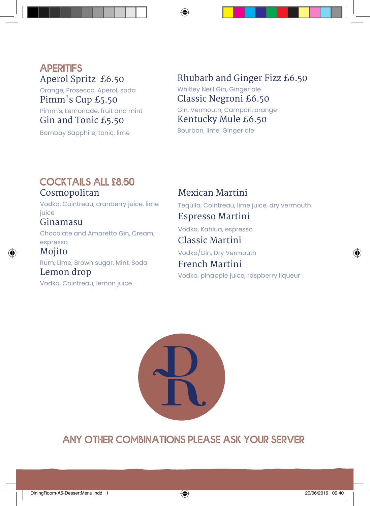## **aperitifs** Aperol Spritz £6.50

Orange, Prosecco, Aperol, soda

Pimm's Cup £5.50 Pimm's, Lemonade, fruit and mint Gin and Tonic £5.50

Bombay Sapphire, tonic, lime

Rhubarb and Ginger Fizz £6.50 Whitley Neill Gin, Ginger ale Classic Negroni £6.50 Gin, Vermouth, Campari, orange Kentucky Mule £6.50 Bourbon, lime, Ginger ale

#### **cocktails all £8.50** Cosmopolitan

Vodka, Cointreau, cranberry juice, lime juice

## Ginamasu

Chocolate and Amaretto Gin, Cream, espresso

Mojito Rum, Lime, Brown sugar, Mint, Soda Lemon drop

Vodka, Cointreau, lemon juice

Mexican Martini Tequila, Cointreau, lime juice, dry vermouth Espresso Martini Vodka, Kahlua, espresso Classic Martini

Vodka/Gin, Dry Vermouth

French Martini Vodka, pinapple juice, raspberry liqueur



**any other combinations please ask your server**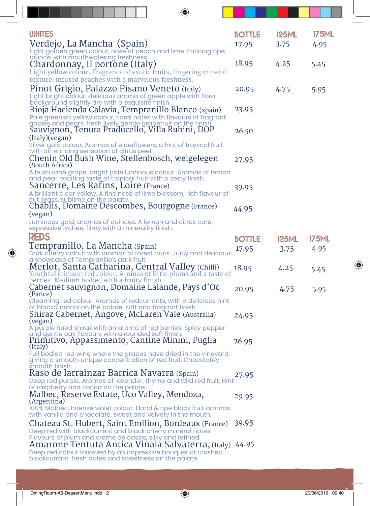| <b>WHITES</b>                                                                                                                      | <b>BOTTLE</b> | <b>125ML</b> | <b>175ML</b> |
|------------------------------------------------------------------------------------------------------------------------------------|---------------|--------------|--------------|
| Verdejo, La Mancha (Spain)                                                                                                         | 17.95         | 3.75         | 4.95         |
| Light golden green colour, nose of peach and lime. Enticing ripe                                                                   |               |              |              |
| quince, with mouthwatering freshness.<br>Chardonnay, Il portone (Italy)                                                            | 18.95         | 4.25         | 5.45         |
| Light yellow colour. Fragrance of exotic fruits, lingering mineral                                                                 |               |              |              |
| texture, infused peaches with a marvelous freshness.                                                                               |               |              |              |
| Pinot Grigio, Palazzo Pisano Veneto (Italy)                                                                                        | 20.95         | 4.75         | 5.95         |
| Light bright colour, delicious aroma of green apple with floral                                                                    |               |              |              |
| background slightly dry with a exquisite finish.                                                                                   |               |              |              |
| Rioja Hacienda Calavia, Tempranillo Blanco (spain)<br>Pale greenish yellow colour, floral notes with flavours of fragrant          | 23.95         |              |              |
| apples and pears, fresh lively gentle grapefruit on the finish.                                                                    |               |              |              |
| Sauvignon, Tenuta Praducello, Villa Rubini, DOP                                                                                    | 26.50         |              |              |
| (Italy)(vegan)                                                                                                                     |               |              |              |
| Silver gold colour. Aromas of elderflowers, a hint of tropical fruit<br>with an enticing sensation of citrus peel.                 |               |              |              |
| Chenin Old Bush Wine, Stellenbosch, welgelegen                                                                                     | 27.95         |              |              |
| (South Africa)                                                                                                                     |               |              |              |
| A bush wine grape, bright pale luminous colour. Aromas of lemon<br>and pear, exciting taste of tropical fruit with a zesty finish. |               |              |              |
| Sancerre, Les Ratins, Loire (France)                                                                                               | 39.95         |              |              |
| A brilliant clear yellow. A fine nose of lime blossom, rich flavour of                                                             |               |              |              |
| cut grass, sublime on the palate.                                                                                                  |               |              |              |
| Chablis, Domaine Descombes, Bourgogne (France)                                                                                     | 44.95         |              |              |
| (vegan)<br>Luminous gold, aromas of quinces. A lemon and citrus core,                                                              |               |              |              |
| expressive lychee, flinty with a minerality finish.                                                                                |               |              |              |
| <b>REDS</b>                                                                                                                        | <b>BOTTLE</b> | <b>125ML</b> | 175ML        |
| Tempranillo, La Mancha (Spain)                                                                                                     |               | 3.75         | 4.95         |
| Dark cherry colour with aromas of forest fruits. Juicy and delicious,                                                              | 17.95         |              |              |
| a showcase of Tempranillo's dark fruit.                                                                                            |               |              |              |
| Merlot, Santa Catharina, Central Valley (Chilli)<br>Youthful crimson red colour. Aromas of little plums and a taste of             | 18.95         | 4.25         | 5.45         |
| berries. Medium bodied with a fruity finish.                                                                                       |               |              |              |
| Cabernet sauvignon, Domaine Lalande, Pays d'Oc                                                                                     | 20.95         | 4.75         | 5.95         |
| (Fance)<br>Gleaming red colour. Aromas of redcurrants, with a delicious hint                                                       |               |              |              |
| of blackcurrants on the palate. soft and fragrant finish.                                                                          |               |              |              |
| Shiraz Cabernet, Angove, McLaren Vale (Australia)                                                                                  | 24.95         |              |              |
| (vegan)<br>A purple hued shiraz with an aroma of red berries. Spicy pepper                                                         |               |              |              |
| and gentle oak flavours with a rounded soft finish.                                                                                |               |              |              |
| Primitivo, Appassimento, Cantine Minini, Puglia                                                                                    | 26.95         |              |              |
| (Italy)<br>Full bodied red wine where the grapes have dried in the vineyard,                                                       |               |              |              |
| giving a smooth unique concentration of red fruit. Chocolatey                                                                      |               |              |              |
| smooth finish.<br>Raso de larrainzar Barrica Navarra (Spain)                                                                       |               |              |              |
| Deep red purple. Aromas of lavender, thyme and wild red fruit. Hint                                                                | 27.95         |              |              |
| of raspberry and cocoa on the palate.                                                                                              |               |              |              |
| Malbec, Reserve Estate, Uco Valley, Mendoza,                                                                                       | 29.95         |              |              |
| (Argentina)<br>100% Malbec. Intense violet colour. Floral & ripe black fruit aromas                                                |               |              |              |
| with vanilla and chocolate. sweet and velvety in the mouth.                                                                        |               |              |              |
| Chateau St. Hubert, Saint Emilion, Bordeaux (France)                                                                               | 39.95         |              |              |
| Deep red with blackcurrent and black cherry mineral notes.                                                                         |               |              |              |
| Flavours of plum and creme de cassis, silky and refined.<br>Amarone Tentuta Antica Vinaia Salvaterra, (Italy) 44.95                |               |              |              |
| Deep red colour followed by an impressive bouquet of crushed                                                                       |               |              |              |
| blackcurrant, fresh dates and sweetness on the palate.                                                                             |               |              |              |